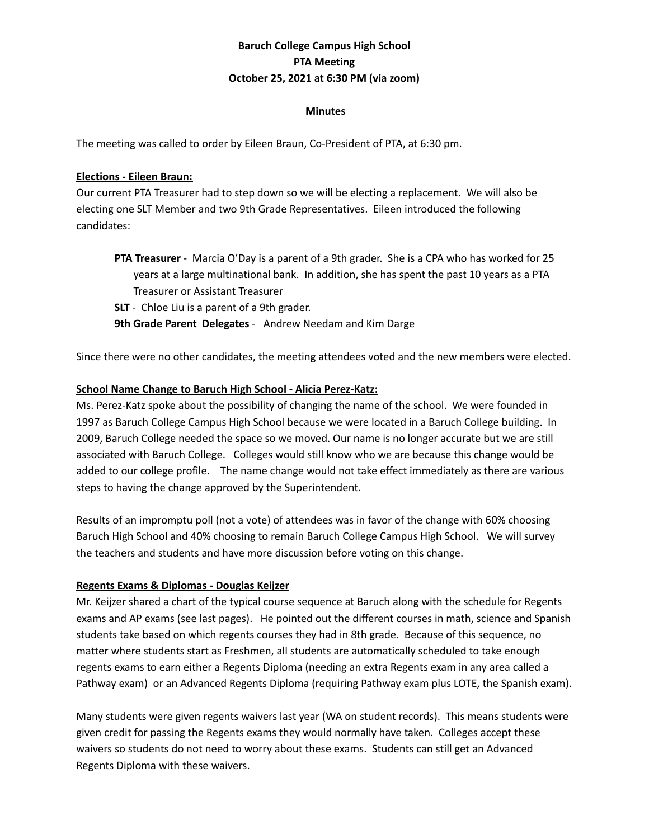# **Baruch College Campus High School PTA Meeting October 25, 2021 at 6:30 PM (via zoom)**

#### **Minutes**

The meeting was called to order by Eileen Braun, Co-President of PTA, at 6:30 pm.

#### **Elections - Eileen Braun:**

Our current PTA Treasurer had to step down so we will be electing a replacement. We will also be electing one SLT Member and two 9th Grade Representatives. Eileen introduced the following candidates:

- **PTA Treasurer** Marcia O'Day is a parent of a 9th grader. She is a CPA who has worked for 25 years at a large multinational bank. In addition, she has spent the past 10 years as a PTA Treasurer or Assistant Treasurer
- **SLT** Chloe Liu is a parent of a 9th grader.

**9th Grade Parent Delegates** - Andrew Needam and Kim Darge

Since there were no other candidates, the meeting attendees voted and the new members were elected.

### **School Name Change to Baruch High School - Alicia Perez-Katz:**

Ms. Perez-Katz spoke about the possibility of changing the name of the school. We were founded in 1997 as Baruch College Campus High School because we were located in a Baruch College building. In 2009, Baruch College needed the space so we moved. Our name is no longer accurate but we are still associated with Baruch College. Colleges would still know who we are because this change would be added to our college profile. The name change would not take effect immediately as there are various steps to having the change approved by the Superintendent.

Results of an impromptu poll (not a vote) of attendees was in favor of the change with 60% choosing Baruch High School and 40% choosing to remain Baruch College Campus High School. We will survey the teachers and students and have more discussion before voting on this change.

### **Regents Exams & Diplomas - Douglas Keijzer**

Mr. Keijzer shared a chart of the typical course sequence at Baruch along with the schedule for Regents exams and AP exams (see last pages). He pointed out the different courses in math, science and Spanish students take based on which regents courses they had in 8th grade. Because of this sequence, no matter where students start as Freshmen, all students are automatically scheduled to take enough regents exams to earn either a Regents Diploma (needing an extra Regents exam in any area called a Pathway exam) or an Advanced Regents Diploma (requiring Pathway exam plus LOTE, the Spanish exam).

Many students were given regents waivers last year (WA on student records). This means students were given credit for passing the Regents exams they would normally have taken. Colleges accept these waivers so students do not need to worry about these exams. Students can still get an Advanced Regents Diploma with these waivers.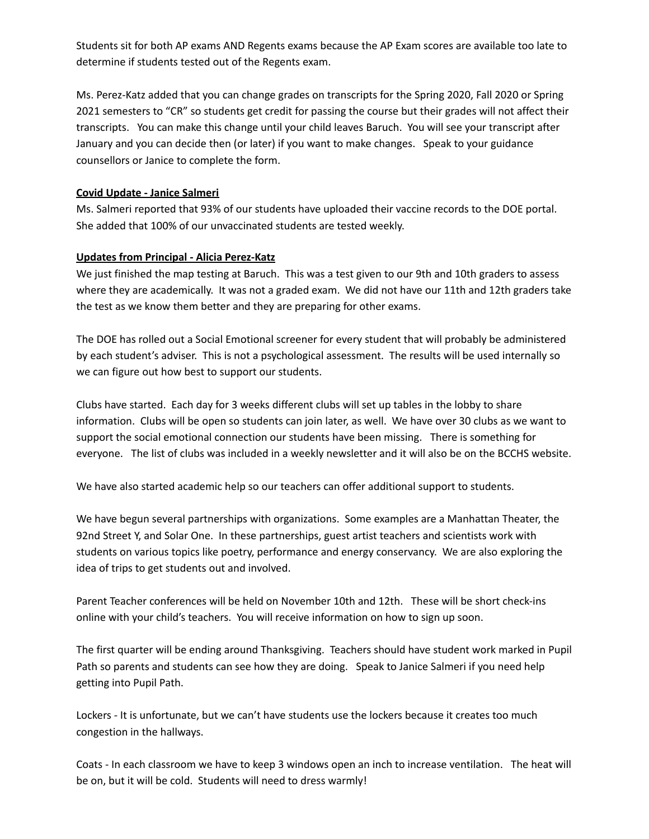Students sit for both AP exams AND Regents exams because the AP Exam scores are available too late to determine if students tested out of the Regents exam.

Ms. Perez-Katz added that you can change grades on transcripts for the Spring 2020, Fall 2020 or Spring 2021 semesters to "CR" so students get credit for passing the course but their grades will not affect their transcripts. You can make this change until your child leaves Baruch. You will see your transcript after January and you can decide then (or later) if you want to make changes. Speak to your guidance counsellors or Janice to complete the form.

#### **Covid Update - Janice Salmeri**

Ms. Salmeri reported that 93% of our students have uploaded their vaccine records to the DOE portal. She added that 100% of our unvaccinated students are tested weekly.

### **Updates from Principal - Alicia Perez-Katz**

We just finished the map testing at Baruch. This was a test given to our 9th and 10th graders to assess where they are academically. It was not a graded exam. We did not have our 11th and 12th graders take the test as we know them better and they are preparing for other exams.

The DOE has rolled out a Social Emotional screener for every student that will probably be administered by each student's adviser. This is not a psychological assessment. The results will be used internally so we can figure out how best to support our students.

Clubs have started. Each day for 3 weeks different clubs will set up tables in the lobby to share information. Clubs will be open so students can join later, as well. We have over 30 clubs as we want to support the social emotional connection our students have been missing. There is something for everyone. The list of clubs was included in a weekly newsletter and it will also be on the BCCHS website.

We have also started academic help so our teachers can offer additional support to students.

We have begun several partnerships with organizations. Some examples are a Manhattan Theater, the 92nd Street Y, and Solar One. In these partnerships, guest artist teachers and scientists work with students on various topics like poetry, performance and energy conservancy. We are also exploring the idea of trips to get students out and involved.

Parent Teacher conferences will be held on November 10th and 12th. These will be short check-ins online with your child's teachers. You will receive information on how to sign up soon.

The first quarter will be ending around Thanksgiving. Teachers should have student work marked in Pupil Path so parents and students can see how they are doing. Speak to Janice Salmeri if you need help getting into Pupil Path.

Lockers - It is unfortunate, but we can't have students use the lockers because it creates too much congestion in the hallways.

Coats - In each classroom we have to keep 3 windows open an inch to increase ventilation. The heat will be on, but it will be cold. Students will need to dress warmly!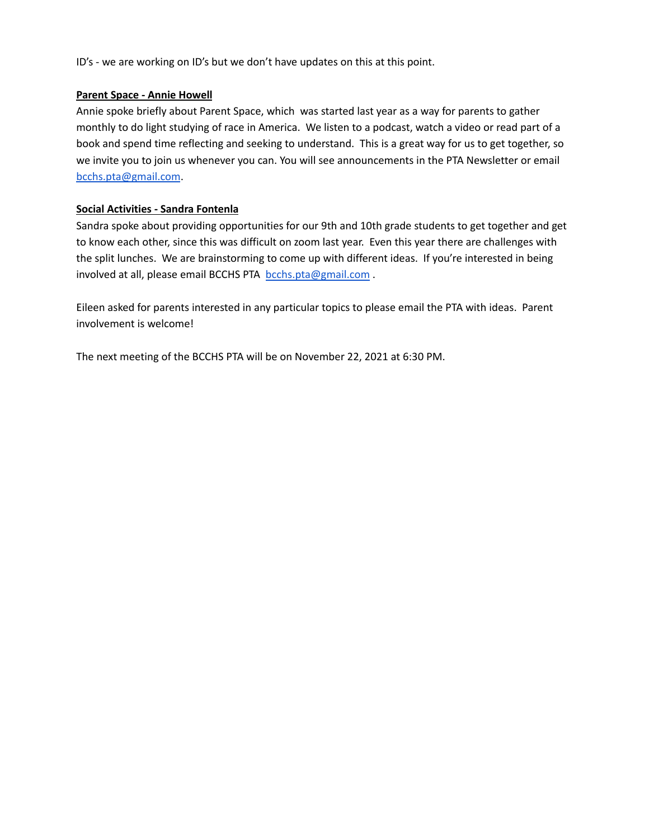ID's - we are working on ID's but we don't have updates on this at this point.

### **Parent Space - Annie Howell**

Annie spoke briefly about Parent Space, which was started last year as a way for parents to gather monthly to do light studying of race in America. We listen to a podcast, watch a video or read part of a book and spend time reflecting and seeking to understand. This is a great way for us to get together, so we invite you to join us whenever you can. You will see announcements in the PTA Newsletter or email [bcchs.pta@gmail.com](mailto:bcchs.pta@gmail.com).

## **Social Activities - Sandra Fontenla**

Sandra spoke about providing opportunities for our 9th and 10th grade students to get together and get to know each other, since this was difficult on zoom last year. Even this year there are challenges with the split lunches. We are brainstorming to come up with different ideas. If you're interested in being involved at all, please email BCCHS PTA [bcchs.pta@gmail.com](mailto:bcchs.pta@gmail.com) .

Eileen asked for parents interested in any particular topics to please email the PTA with ideas. Parent involvement is welcome!

The next meeting of the BCCHS PTA will be on November 22, 2021 at 6:30 PM.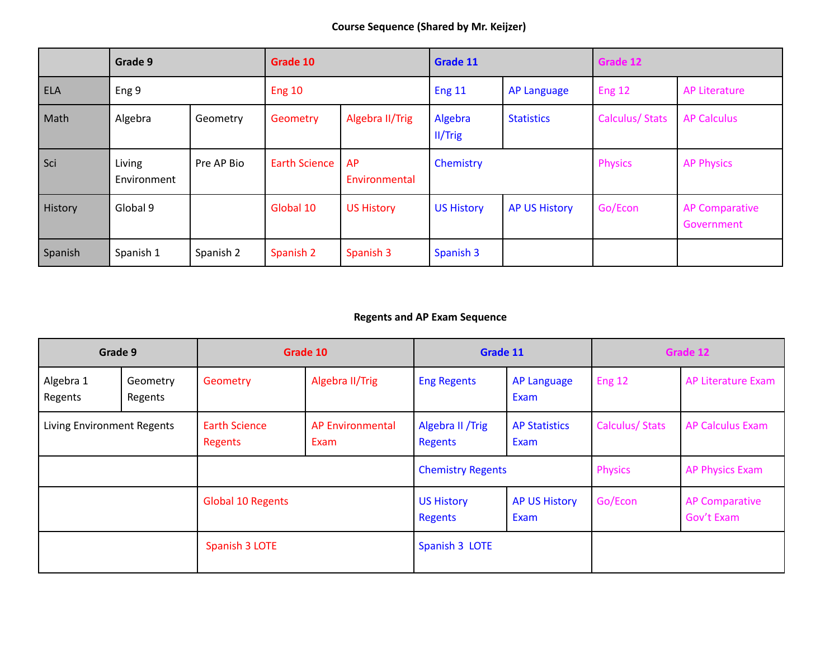|            | Grade 9               |            | Grade 10             |                     | Grade 11           |                      | Grade 12              |                                     |
|------------|-----------------------|------------|----------------------|---------------------|--------------------|----------------------|-----------------------|-------------------------------------|
| <b>ELA</b> | Eng 9                 |            | <b>Eng 10</b>        |                     | <b>Eng 11</b>      | <b>AP Language</b>   | Eng 12                | <b>AP Literature</b>                |
| Math       | Algebra               | Geometry   | Geometry             | Algebra II/Trig     | Algebra<br>II/Trig | <b>Statistics</b>    | <b>Calculus/Stats</b> | <b>AP Calculus</b>                  |
| Sci        | Living<br>Environment | Pre AP Bio | <b>Earth Science</b> | AP<br>Environmental | Chemistry          |                      | <b>Physics</b>        | <b>AP Physics</b>                   |
| History    | Global 9              |            | Global 10            | US History          | <b>US History</b>  | <b>AP US History</b> | Go/Econ               | <b>AP Comparative</b><br>Government |
| Spanish    | Spanish 1             | Spanish 2  | Spanish 2            | Spanish 3           | Spanish 3          |                      |                       |                                     |

# **Regents and AP Exam Sequence**

| Grade 9                    |                     | Grade 10                        |                                 | Grade 11                     |                              | Grade 12              |                                     |
|----------------------------|---------------------|---------------------------------|---------------------------------|------------------------------|------------------------------|-----------------------|-------------------------------------|
| Algebra 1<br>Regents       | Geometry<br>Regents | Geometry                        | Algebra II/Trig                 | <b>Eng Regents</b>           | <b>AP Language</b><br>Exam   | Eng 12                | AP Literature Exam                  |
| Living Environment Regents |                     | <b>Earth Science</b><br>Regents | <b>AP Environmental</b><br>Exam | Algebra II / Trig<br>Regents | <b>AP Statistics</b><br>Exam | <b>Calculus/Stats</b> | <b>AP Calculus Exam</b>             |
|                            |                     |                                 |                                 | <b>Chemistry Regents</b>     |                              | <b>Physics</b>        | AP Physics Exam                     |
|                            |                     | Global 10 Regents               |                                 | <b>US History</b><br>Regents | <b>AP US History</b><br>Exam | Go/Econ               | <b>AP Comparative</b><br>Gov't Exam |
|                            |                     | Spanish 3 LOTE                  |                                 | Spanish 3 LOTE               |                              |                       |                                     |